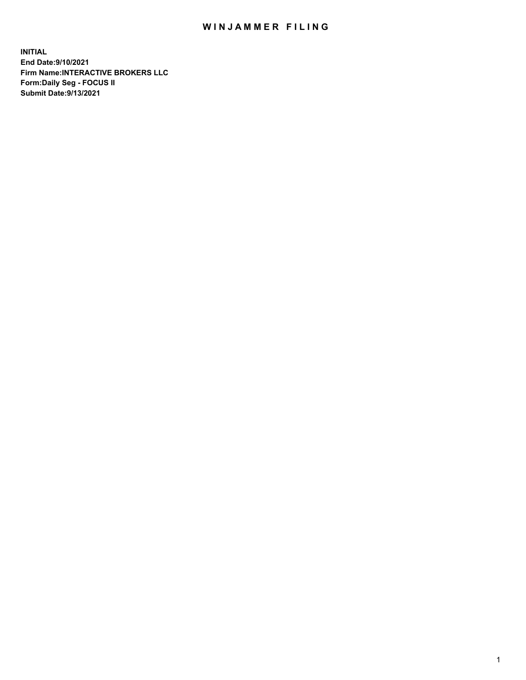## WIN JAMMER FILING

**INITIAL End Date:9/10/2021 Firm Name:INTERACTIVE BROKERS LLC Form:Daily Seg - FOCUS II Submit Date:9/13/2021**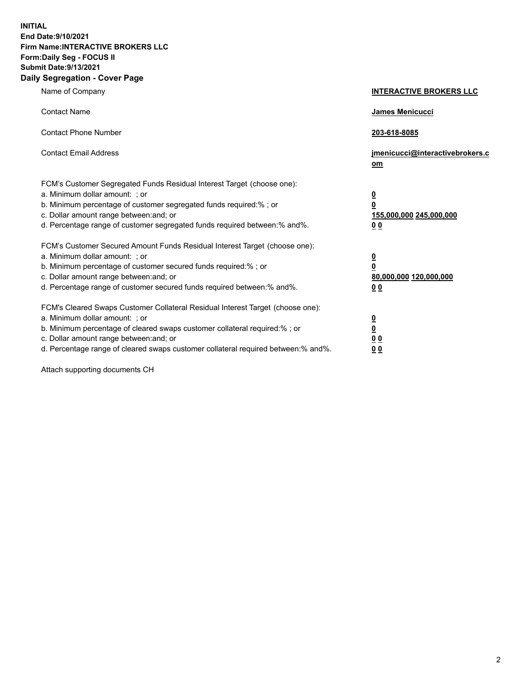**INITIAL End Date:9/10/2021 Firm Name:INTERACTIVE BROKERS LLC Form:Daily Seg - FOCUS II Submit Date:9/13/2021 Daily Segregation - Cover Page**

| Name of Company                                                                                                                                                                                                                                                                                                                | <b>INTERACTIVE BROKERS LLC</b>                                                                  |  |
|--------------------------------------------------------------------------------------------------------------------------------------------------------------------------------------------------------------------------------------------------------------------------------------------------------------------------------|-------------------------------------------------------------------------------------------------|--|
| <b>Contact Name</b>                                                                                                                                                                                                                                                                                                            | James Menicucci                                                                                 |  |
| <b>Contact Phone Number</b>                                                                                                                                                                                                                                                                                                    | 203-618-8085                                                                                    |  |
| <b>Contact Email Address</b>                                                                                                                                                                                                                                                                                                   | jmenicucci@interactivebrokers.c<br>om                                                           |  |
| FCM's Customer Segregated Funds Residual Interest Target (choose one):<br>a. Minimum dollar amount: ; or<br>b. Minimum percentage of customer segregated funds required:% ; or<br>c. Dollar amount range between: and; or<br>d. Percentage range of customer segregated funds required between: % and %.                       | $\overline{\mathbf{0}}$<br>$\overline{\mathbf{0}}$<br>155,000,000 245,000,000<br>0 <sub>0</sub> |  |
| FCM's Customer Secured Amount Funds Residual Interest Target (choose one):<br>a. Minimum dollar amount: ; or<br>b. Minimum percentage of customer secured funds required:% ; or<br>c. Dollar amount range between: and; or<br>d. Percentage range of customer secured funds required between:% and%.                           | $\overline{\mathbf{0}}$<br>$\overline{\mathbf{0}}$<br>80,000,000 120,000,000<br>0 <sub>0</sub>  |  |
| FCM's Cleared Swaps Customer Collateral Residual Interest Target (choose one):<br>a. Minimum dollar amount: ; or<br>b. Minimum percentage of cleared swaps customer collateral required:% ; or<br>c. Dollar amount range between: and; or<br>d. Percentage range of cleared swaps customer collateral required between:% and%. | $\overline{\mathbf{0}}$<br><u>0</u><br>0 <sub>0</sub><br>00                                     |  |

Attach supporting documents CH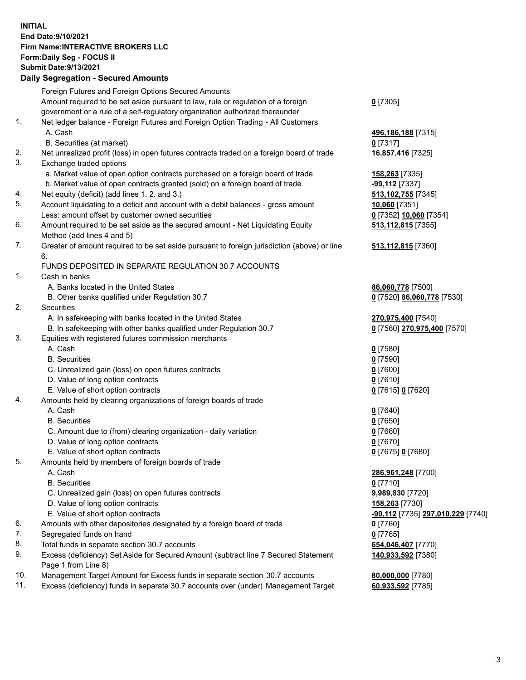**INITIAL End Date:9/10/2021 Firm Name:INTERACTIVE BROKERS LLC Form:Daily Seg - FOCUS II Submit Date:9/13/2021 Daily Segregation - Secured Amounts**

## Foreign Futures and Foreign Options Secured Amounts Amount required to be set aside pursuant to law, rule or regulation of a foreign government or a rule of a self-regulatory organization authorized thereunder **0** [7305] 1. Net ledger balance - Foreign Futures and Foreign Option Trading - All Customers A. Cash **496,186,188** [7315] B. Securities (at market) **0** [7317] 2. Net unrealized profit (loss) in open futures contracts traded on a foreign board of trade **16,857,416** [7325] 3. Exchange traded options a. Market value of open option contracts purchased on a foreign board of trade **158,263** [7335] b. Market value of open contracts granted (sold) on a foreign board of trade **-99,112** [7337] 4. Net equity (deficit) (add lines 1. 2. and 3.) **513,102,755** [7345] 5. Account liquidating to a deficit and account with a debit balances - gross amount **10,060** [7351] Less: amount offset by customer owned securities **0** [7352] **10,060** [7354] 6. Amount required to be set aside as the secured amount - Net Liquidating Equity Method (add lines 4 and 5) **513,112,815** [7355] 7. Greater of amount required to be set aside pursuant to foreign jurisdiction (above) or line 6. **513,112,815** [7360] FUNDS DEPOSITED IN SEPARATE REGULATION 30.7 ACCOUNTS 1. Cash in banks A. Banks located in the United States **86,060,778** [7500] B. Other banks qualified under Regulation 30.7 **0** [7520] **86,060,778** [7530] 2. Securities A. In safekeeping with banks located in the United States **270,975,400** [7540] B. In safekeeping with other banks qualified under Regulation 30.7 **0** [7560] **270,975,400** [7570] 3. Equities with registered futures commission merchants A. Cash **0** [7580] B. Securities **0** [7590] C. Unrealized gain (loss) on open futures contracts **0** [7600] D. Value of long option contracts **0** [7610] E. Value of short option contracts **0** [7615] **0** [7620] 4. Amounts held by clearing organizations of foreign boards of trade A. Cash **0** [7640] B. Securities **0** [7650] C. Amount due to (from) clearing organization - daily variation **0** [7660] D. Value of long option contracts **0** [7670] E. Value of short option contracts **0** [7675] **0** [7680] 5. Amounts held by members of foreign boards of trade A. Cash **286,961,248** [7700] B. Securities **0** [7710] C. Unrealized gain (loss) on open futures contracts **9,989,830** [7720] D. Value of long option contracts **158,263** [7730] E. Value of short option contracts **-99,112** [7735] **297,010,229** [7740] 6. Amounts with other depositories designated by a foreign board of trade **0** [7760] 7. Segregated funds on hand **0** [7765] 8. Total funds in separate section 30.7 accounts **654,046,407** [7770] 9. Excess (deficiency) Set Aside for Secured Amount (subtract line 7 Secured Statement Page 1 from Line 8) **140,933,592** [7380] 10. Management Target Amount for Excess funds in separate section 30.7 accounts **80,000,000** [7780] 11. Excess (deficiency) funds in separate 30.7 accounts over (under) Management Target **60,933,592** [7785]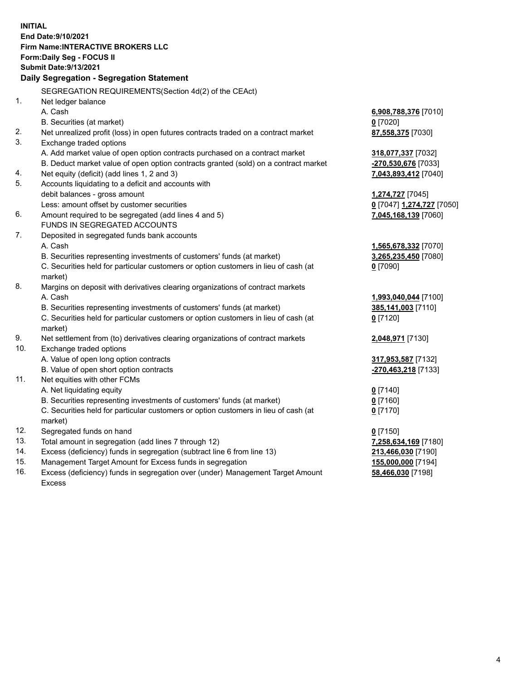**INITIAL End Date:9/10/2021 Firm Name:INTERACTIVE BROKERS LLC Form:Daily Seg - FOCUS II Submit Date:9/13/2021 Daily Segregation - Segregation Statement** SEGREGATION REQUIREMENTS(Section 4d(2) of the CEAct) 1. Net ledger balance A. Cash **6,908,788,376** [7010] B. Securities (at market) **0** [7020] 2. Net unrealized profit (loss) in open futures contracts traded on a contract market **87,558,375** [7030] 3. Exchange traded options A. Add market value of open option contracts purchased on a contract market **318,077,337** [7032] B. Deduct market value of open option contracts granted (sold) on a contract market **-270,530,676** [7033] 4. Net equity (deficit) (add lines 1, 2 and 3) **7,043,893,412** [7040] 5. Accounts liquidating to a deficit and accounts with debit balances - gross amount **1,274,727** [7045] Less: amount offset by customer securities **0** [7047] **1,274,727** [7050] 6. Amount required to be segregated (add lines 4 and 5) **7,045,168,139** [7060] FUNDS IN SEGREGATED ACCOUNTS 7. Deposited in segregated funds bank accounts A. Cash **1,565,678,332** [7070] B. Securities representing investments of customers' funds (at market) **3,265,235,450** [7080] C. Securities held for particular customers or option customers in lieu of cash (at market) **0** [7090] 8. Margins on deposit with derivatives clearing organizations of contract markets A. Cash **1,993,040,044** [7100] B. Securities representing investments of customers' funds (at market) **385,141,003** [7110] C. Securities held for particular customers or option customers in lieu of cash (at market) **0** [7120] 9. Net settlement from (to) derivatives clearing organizations of contract markets **2,048,971** [7130] 10. Exchange traded options A. Value of open long option contracts **317,953,587** [7132] B. Value of open short option contracts **-270,463,218** [7133] 11. Net equities with other FCMs A. Net liquidating equity **0** [7140] B. Securities representing investments of customers' funds (at market) **0** [7160] C. Securities held for particular customers or option customers in lieu of cash (at market) **0** [7170] 12. Segregated funds on hand **0** [7150] 13. Total amount in segregation (add lines 7 through 12) **7,258,634,169** [7180] 14. Excess (deficiency) funds in segregation (subtract line 6 from line 13) **213,466,030** [7190] 15. Management Target Amount for Excess funds in segregation **155,000,000** [7194]

16. Excess (deficiency) funds in segregation over (under) Management Target Amount Excess

**58,466,030** [7198]